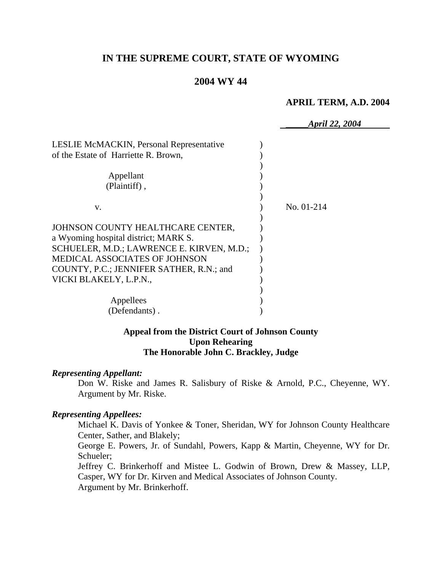# **IN THE SUPREME COURT, STATE OF WYOMING**

# **2004 WY 44**

#### **APRIL TERM, A.D. 2004**

|                                                                                  | April 22, 2004 |
|----------------------------------------------------------------------------------|----------------|
| LESLIE McMACKIN, Personal Representative<br>of the Estate of Harriette R. Brown, |                |
| Appellant                                                                        |                |
| (Plaintiff),                                                                     |                |
|                                                                                  |                |
| V.                                                                               | No. 01-214     |
|                                                                                  |                |
| JOHNSON COUNTY HEALTHCARE CENTER,                                                |                |
| a Wyoming hospital district; MARK S.                                             |                |
| SCHUELER, M.D.; LAWRENCE E. KIRVEN, M.D.;                                        |                |
| MEDICAL ASSOCIATES OF JOHNSON                                                    |                |
| COUNTY, P.C.; JENNIFER SATHER, R.N.; and                                         |                |
| VICKI BLAKELY, L.P.N.,                                                           |                |
|                                                                                  |                |
| Appellees                                                                        |                |
| (Defendants).                                                                    |                |
|                                                                                  |                |

# **Appeal from the District Court of Johnson County Upon Rehearing The Honorable John C. Brackley, Judge**

#### *Representing Appellant:*

Don W. Riske and James R. Salisbury of Riske & Arnold, P.C., Cheyenne, WY. Argument by Mr. Riske.

#### *Representing Appellees:*

Michael K. Davis of Yonkee & Toner, Sheridan, WY for Johnson County Healthcare Center, Sather, and Blakely;

George E. Powers, Jr. of Sundahl, Powers, Kapp & Martin, Cheyenne, WY for Dr. Schueler;

Jeffrey C. Brinkerhoff and Mistee L. Godwin of Brown, Drew & Massey, LLP, Casper, WY for Dr. Kirven and Medical Associates of Johnson County. Argument by Mr. Brinkerhoff.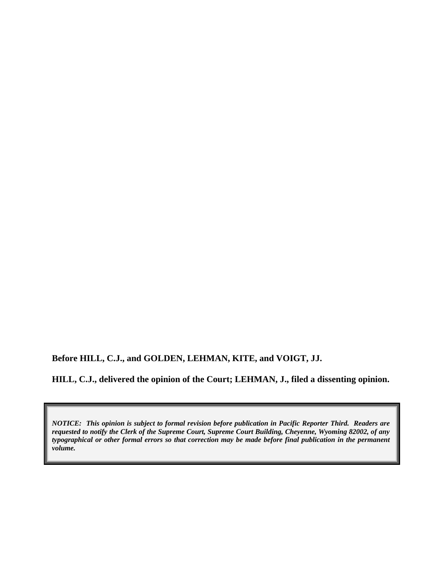**Before HILL, C.J., and GOLDEN, LEHMAN, KITE, and VOIGT, JJ.** 

**HILL, C.J., delivered the opinion of the Court; LEHMAN, J., filed a dissenting opinion.** 

*NOTICE: This opinion is subject to formal revision before publication in Pacific Reporter Third. Readers are requested to notify the Clerk of the Supreme Court, Supreme Court Building, Cheyenne, Wyoming 82002, of any typographical or other formal errors so that correction may be made before final publication in the permanent volume.*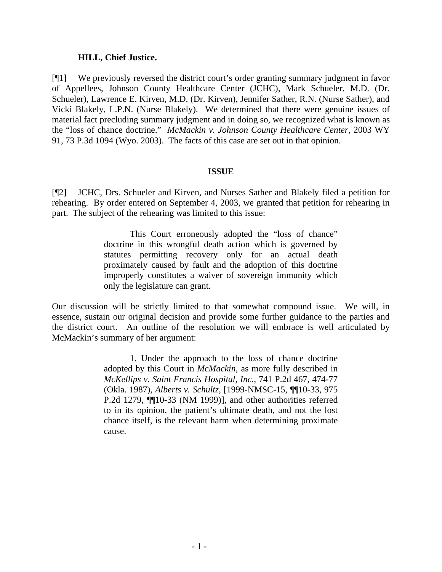### **HILL, Chief Justice.**

[¶1] We previously reversed the district court's order granting summary judgment in favor of Appellees, Johnson County Healthcare Center (JCHC), Mark Schueler, M.D. (Dr. Schueler), Lawrence E. Kirven, M.D. (Dr. Kirven), Jennifer Sather, R.N. (Nurse Sather), and Vicki Blakely, L.P.N. (Nurse Blakely). We determined that there were genuine issues of material fact precluding summary judgment and in doing so, we recognized what is known as the "loss of chance doctrine." *McMackin v. Johnson County Healthcare Center*, 2003 WY 91, 73 P.3d 1094 (Wyo. 2003). The facts of this case are set out in that opinion.

### **ISSUE**

[¶2] JCHC, Drs. Schueler and Kirven, and Nurses Sather and Blakely filed a petition for rehearing. By order entered on September 4, 2003, we granted that petition for rehearing in part. The subject of the rehearing was limited to this issue:

> This Court erroneously adopted the "loss of chance" doctrine in this wrongful death action which is governed by statutes permitting recovery only for an actual death proximately caused by fault and the adoption of this doctrine improperly constitutes a waiver of sovereign immunity which only the legislature can grant.

Our discussion will be strictly limited to that somewhat compound issue. We will, in essence, sustain our original decision and provide some further guidance to the parties and the district court. An outline of the resolution we will embrace is well articulated by McMackin's summary of her argument:

> 1. Under the approach to the loss of chance doctrine adopted by this Court in *McMackin*, as more fully described in *McKellips v. Saint Francis Hospital, Inc.*, 741 P.2d 467, 474-77 (Okla. 1987), *Alberts v. Schultz*, [1999-NMSC-15, ¶¶10-33, 975 P.2d 1279, ¶¶10-33 (NM 1999)], and other authorities referred to in its opinion, the patient's ultimate death, and not the lost chance itself, is the relevant harm when determining proximate cause.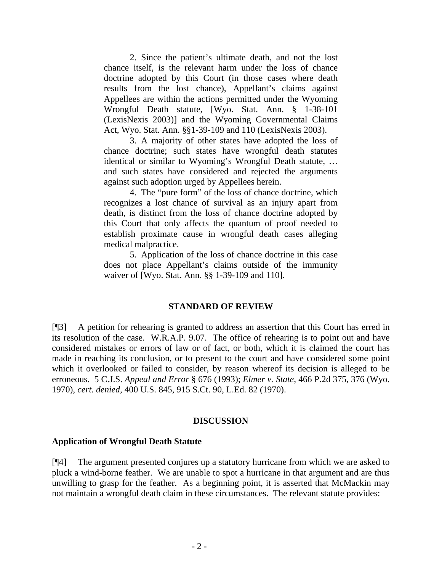2. Since the patient's ultimate death, and not the lost chance itself, is the relevant harm under the loss of chance doctrine adopted by this Court (in those cases where death results from the lost chance), Appellant's claims against Appellees are within the actions permitted under the Wyoming Wrongful Death statute, [Wyo. Stat. Ann. § 1-38-101 (LexisNexis 2003)] and the Wyoming Governmental Claims Act, Wyo. Stat. Ann. §§1-39-109 and 110 (LexisNexis 2003).

3. A majority of other states have adopted the loss of chance doctrine; such states have wrongful death statutes identical or similar to Wyoming's Wrongful Death statute, … and such states have considered and rejected the arguments against such adoption urged by Appellees herein.

4. The "pure form" of the loss of chance doctrine, which recognizes a lost chance of survival as an injury apart from death, is distinct from the loss of chance doctrine adopted by this Court that only affects the quantum of proof needed to establish proximate cause in wrongful death cases alleging medical malpractice.

5. Application of the loss of chance doctrine in this case does not place Appellant's claims outside of the immunity waiver of [Wyo. Stat. Ann. §§ 1-39-109 and 110].

# **STANDARD OF REVIEW**

[¶3] A petition for rehearing is granted to address an assertion that this Court has erred in its resolution of the case. W.R.A.P. 9.07. The office of rehearing is to point out and have considered mistakes or errors of law or of fact, or both, which it is claimed the court has made in reaching its conclusion, or to present to the court and have considered some point which it overlooked or failed to consider, by reason whereof its decision is alleged to be erroneous. 5 C.J.S. *Appeal and Error* § 676 (1993); *Elmer v. State*, 466 P.2d 375, 376 (Wyo. 1970), *cert. denied*, 400 U.S. 845, 915 S.Ct. 90, L.Ed. 82 (1970).

# **DISCUSSION**

# **Application of Wrongful Death Statute**

[¶4] The argument presented conjures up a statutory hurricane from which we are asked to pluck a wind-borne feather. We are unable to spot a hurricane in that argument and are thus unwilling to grasp for the feather. As a beginning point, it is asserted that McMackin may not maintain a wrongful death claim in these circumstances. The relevant statute provides: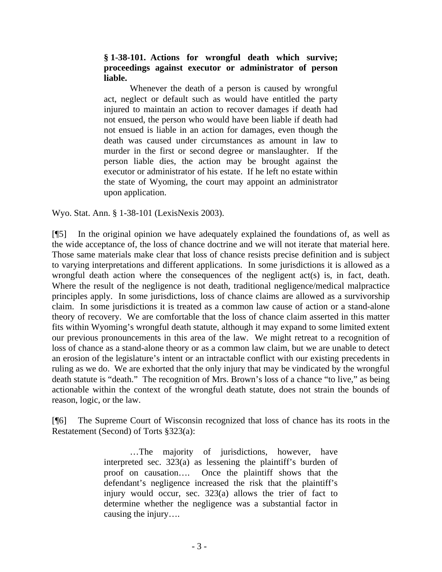### **§ 1-38-101. Actions for wrongful death which survive; proceedings against executor or administrator of person liable.**

Whenever the death of a person is caused by wrongful act, neglect or default such as would have entitled the party injured to maintain an action to recover damages if death had not ensued, the person who would have been liable if death had not ensued is liable in an action for damages, even though the death was caused under circumstances as amount in law to murder in the first or second degree or manslaughter. If the person liable dies, the action may be brought against the executor or administrator of his estate. If he left no estate within the state of Wyoming, the court may appoint an administrator upon application.

Wyo. Stat. Ann. § 1-38-101 (LexisNexis 2003).

[¶5] In the original opinion we have adequately explained the foundations of, as well as the wide acceptance of, the loss of chance doctrine and we will not iterate that material here. Those same materials make clear that loss of chance resists precise definition and is subject to varying interpretations and different applications. In some jurisdictions it is allowed as a wrongful death action where the consequences of the negligent act(s) is, in fact, death. Where the result of the negligence is not death, traditional negligence/medical malpractice principles apply. In some jurisdictions, loss of chance claims are allowed as a survivorship claim. In some jurisdictions it is treated as a common law cause of action or a stand-alone theory of recovery. We are comfortable that the loss of chance claim asserted in this matter fits within Wyoming's wrongful death statute, although it may expand to some limited extent our previous pronouncements in this area of the law. We might retreat to a recognition of loss of chance as a stand-alone theory or as a common law claim, but we are unable to detect an erosion of the legislature's intent or an intractable conflict with our existing precedents in ruling as we do. We are exhorted that the only injury that may be vindicated by the wrongful death statute is "death." The recognition of Mrs. Brown's loss of a chance "to live," as being actionable within the context of the wrongful death statute, does not strain the bounds of reason, logic, or the law.

[¶6] The Supreme Court of Wisconsin recognized that loss of chance has its roots in the Restatement (Second) of Torts §323(a):

> …The majority of jurisdictions, however, have interpreted sec. 323(a) as lessening the plaintiff's burden of proof on causation…. Once the plaintiff shows that the defendant's negligence increased the risk that the plaintiff's injury would occur, sec. 323(a) allows the trier of fact to determine whether the negligence was a substantial factor in causing the injury….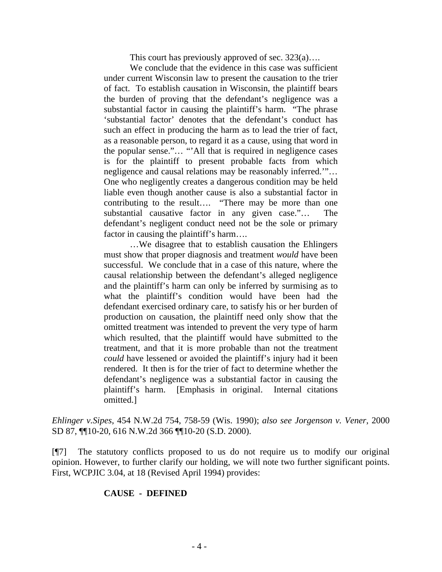This court has previously approved of sec. 323(a)….

We conclude that the evidence in this case was sufficient under current Wisconsin law to present the causation to the trier of fact. To establish causation in Wisconsin, the plaintiff bears the burden of proving that the defendant's negligence was a substantial factor in causing the plaintiff's harm. "The phrase 'substantial factor' denotes that the defendant's conduct has such an effect in producing the harm as to lead the trier of fact, as a reasonable person, to regard it as a cause, using that word in the popular sense."… "'All that is required in negligence cases is for the plaintiff to present probable facts from which negligence and causal relations may be reasonably inferred.'"… One who negligently creates a dangerous condition may be held liable even though another cause is also a substantial factor in contributing to the result…. "There may be more than one substantial causative factor in any given case."… The defendant's negligent conduct need not be the sole or primary factor in causing the plaintiff's harm....

…We disagree that to establish causation the Ehlingers must show that proper diagnosis and treatment *would* have been successful. We conclude that in a case of this nature, where the causal relationship between the defendant's alleged negligence and the plaintiff's harm can only be inferred by surmising as to what the plaintiff's condition would have been had the defendant exercised ordinary care, to satisfy his or her burden of production on causation, the plaintiff need only show that the omitted treatment was intended to prevent the very type of harm which resulted, that the plaintiff would have submitted to the treatment, and that it is more probable than not the treatment *could* have lessened or avoided the plaintiff's injury had it been rendered. It then is for the trier of fact to determine whether the defendant's negligence was a substantial factor in causing the plaintiff's harm. [Emphasis in original. Internal citations omitted.]

*Ehlinger v.Sipes*, 454 N.W.2d 754, 758-59 (Wis. 1990); *also see Jorgenson v. Vener*, 2000 SD 87, ¶¶10-20, 616 N.W.2d 366 ¶¶10-20 (S.D. 2000).

[¶7] The statutory conflicts proposed to us do not require us to modify our original opinion. However, to further clarify our holding, we will note two further significant points. First, WCPJIC 3.04, at 18 (Revised April 1994) provides:

# **CAUSE - DEFINED**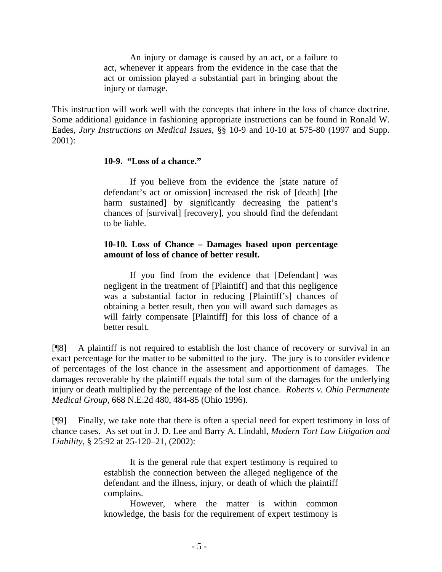An injury or damage is caused by an act, or a failure to act, whenever it appears from the evidence in the case that the act or omission played a substantial part in bringing about the injury or damage.

This instruction will work well with the concepts that inhere in the loss of chance doctrine. Some additional guidance in fashioning appropriate instructions can be found in Ronald W. Eades, *Jury Instructions on Medical Issues*, §§ 10-9 and 10-10 at 575-80 (1997 and Supp. 2001):

#### **10-9. "Loss of a chance."**

If you believe from the evidence the [state nature of defendant's act or omission] increased the risk of [death] [the harm sustained] by significantly decreasing the patient's chances of [survival] [recovery], you should find the defendant to be liable.

### **10-10. Loss of Chance – Damages based upon percentage amount of loss of chance of better result.**

If you find from the evidence that [Defendant] was negligent in the treatment of [Plaintiff] and that this negligence was a substantial factor in reducing [Plaintiff's] chances of obtaining a better result, then you will award such damages as will fairly compensate [Plaintiff] for this loss of chance of a better result.

[¶8] A plaintiff is not required to establish the lost chance of recovery or survival in an exact percentage for the matter to be submitted to the jury. The jury is to consider evidence of percentages of the lost chance in the assessment and apportionment of damages. The damages recoverable by the plaintiff equals the total sum of the damages for the underlying injury or death multiplied by the percentage of the lost chance. *Roberts v. Ohio Permanente Medical Group*, 668 N.E.2d 480, 484-85 (Ohio 1996).

[¶9] Finally, we take note that there is often a special need for expert testimony in loss of chance cases. As set out in J. D. Lee and Barry A. Lindahl, *Modern Tort Law Litigation and Liability*, § 25:92 at 25-120–21, (2002):

> It is the general rule that expert testimony is required to establish the connection between the alleged negligence of the defendant and the illness, injury, or death of which the plaintiff complains.

> However, where the matter is within common knowledge, the basis for the requirement of expert testimony is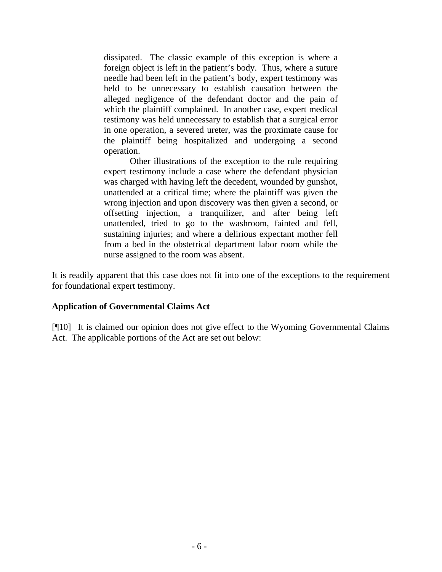dissipated. The classic example of this exception is where a foreign object is left in the patient's body. Thus, where a suture needle had been left in the patient's body, expert testimony was held to be unnecessary to establish causation between the alleged negligence of the defendant doctor and the pain of which the plaintiff complained. In another case, expert medical testimony was held unnecessary to establish that a surgical error in one operation, a severed ureter, was the proximate cause for the plaintiff being hospitalized and undergoing a second operation.

Other illustrations of the exception to the rule requiring expert testimony include a case where the defendant physician was charged with having left the decedent, wounded by gunshot, unattended at a critical time; where the plaintiff was given the wrong injection and upon discovery was then given a second, or offsetting injection, a tranquilizer, and after being left unattended, tried to go to the washroom, fainted and fell, sustaining injuries; and where a delirious expectant mother fell from a bed in the obstetrical department labor room while the nurse assigned to the room was absent.

It is readily apparent that this case does not fit into one of the exceptions to the requirement for foundational expert testimony.

# **Application of Governmental Claims Act**

[¶10] It is claimed our opinion does not give effect to the Wyoming Governmental Claims Act. The applicable portions of the Act are set out below: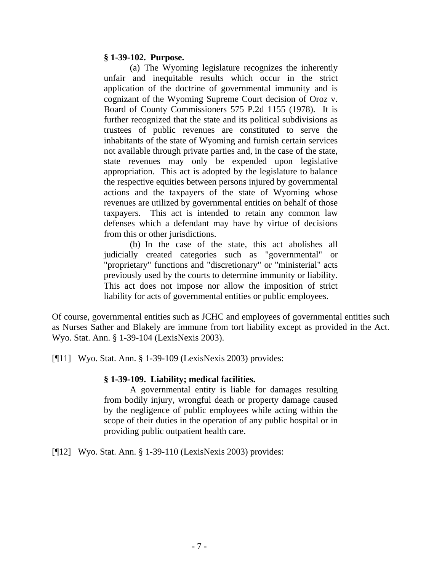#### **§ 1-39-102. Purpose.**

 (a) The Wyoming legislature recognizes the inherently unfair and inequitable results which occur in the strict application of the doctrine of governmental immunity and is cognizant of the Wyoming Supreme Court decision of Oroz v. Board of County Commissioners 575 P.2d 1155 (1978). It is further recognized that the state and its political subdivisions as trustees of public revenues are constituted to serve the inhabitants of the state of Wyoming and furnish certain services not available through private parties and, in the case of the state, state revenues may only be expended upon legislative appropriation. This act is adopted by the legislature to balance the respective equities between persons injured by governmental actions and the taxpayers of the state of Wyoming whose revenues are utilized by governmental entities on behalf of those taxpayers. This act is intended to retain any common law defenses which a defendant may have by virtue of decisions from this or other jurisdictions.

(b) In the case of the state, this act abolishes all judicially created categories such as "governmental" or "proprietary" functions and "discretionary" or "ministerial" acts previously used by the courts to determine immunity or liability. This act does not impose nor allow the imposition of strict liability for acts of governmental entities or public employees.

Of course, governmental entities such as JCHC and employees of governmental entities such as Nurses Sather and Blakely are immune from tort liability except as provided in the Act. Wyo. Stat. Ann. § 1-39-104 (LexisNexis 2003).

[¶11] Wyo. Stat. Ann. § 1-39-109 (LexisNexis 2003) provides:

#### **§ 1-39-109. Liability; medical facilities.**

A governmental entity is liable for damages resulting from bodily injury, wrongful death or property damage caused by the negligence of public employees while acting within the scope of their duties in the operation of any public hospital or in providing public outpatient health care.

[¶12] Wyo. Stat. Ann. § 1-39-110 (LexisNexis 2003) provides: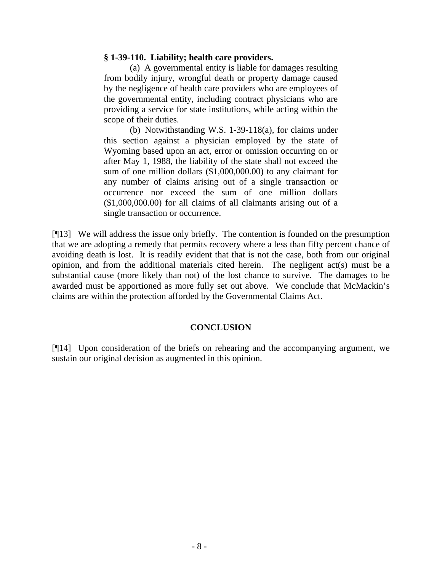#### **§ 1-39-110. Liability; health care providers.**

(a) A governmental entity is liable for damages resulting from bodily injury, wrongful death or property damage caused by the negligence of health care providers who are employees of the governmental entity, including contract physicians who are providing a service for state institutions, while acting within the scope of their duties.

(b) Notwithstanding W.S. 1-39-118(a), for claims under this section against a physician employed by the state of Wyoming based upon an act, error or omission occurring on or after May 1, 1988, the liability of the state shall not exceed the sum of one million dollars (\$1,000,000.00) to any claimant for any number of claims arising out of a single transaction or occurrence nor exceed the sum of one million dollars (\$1,000,000.00) for all claims of all claimants arising out of a single transaction or occurrence.

[¶13] We will address the issue only briefly. The contention is founded on the presumption that we are adopting a remedy that permits recovery where a less than fifty percent chance of avoiding death is lost. It is readily evident that that is not the case, both from our original opinion, and from the additional materials cited herein. The negligent act(s) must be a substantial cause (more likely than not) of the lost chance to survive. The damages to be awarded must be apportioned as more fully set out above. We conclude that McMackin's claims are within the protection afforded by the Governmental Claims Act.

#### **CONCLUSION**

[¶14] Upon consideration of the briefs on rehearing and the accompanying argument, we sustain our original decision as augmented in this opinion.